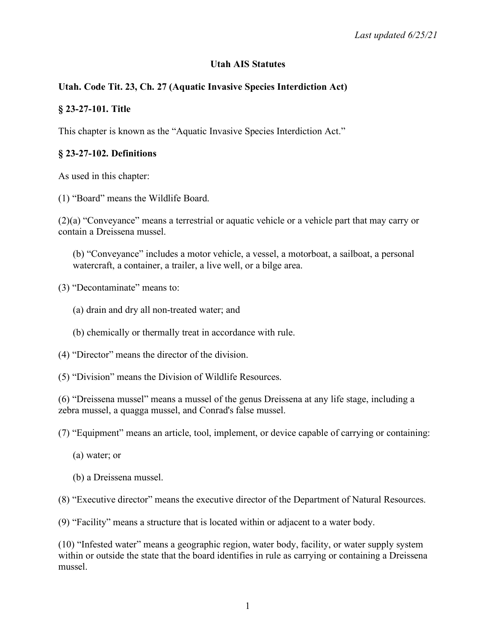#### **Utah AIS Statutes**

# **Utah. Code Tit. 23, Ch. 27 (Aquatic Invasive Species Interdiction Act)**

#### **§ 23-27-101. Title**

This chapter is known as the "Aquatic Invasive Species Interdiction Act."

#### **§ 23-27-102. Definitions**

As used in this chapter:

(1) "Board" means the Wildlife Board.

(2)(a) "Conveyance" means a terrestrial or aquatic vehicle or a vehicle part that may carry or contain a Dreissena mussel.

(b) "Conveyance" includes a motor vehicle, a vessel, a motorboat, a sailboat, a personal watercraft, a container, a trailer, a live well, or a bilge area.

(3) "Decontaminate" means to:

- (a) drain and dry all non-treated water; and
- (b) chemically or thermally treat in accordance with rule.
- (4) "Director" means the director of the division.
- (5) "Division" means the Division of Wildlife Resources.

(6) "Dreissena mussel" means a mussel of the genus Dreissena at any life stage, including a zebra mussel, a quagga mussel, and Conrad's false mussel.

- (7) "Equipment" means an article, tool, implement, or device capable of carrying or containing:
	- (a) water; or
	- (b) a Dreissena mussel.
- (8) "Executive director" means the executive director of the Department of Natural Resources.

(9) "Facility" means a structure that is located within or adjacent to a water body.

(10) "Infested water" means a geographic region, water body, facility, or water supply system within or outside the state that the board identifies in rule as carrying or containing a Dreissena mussel.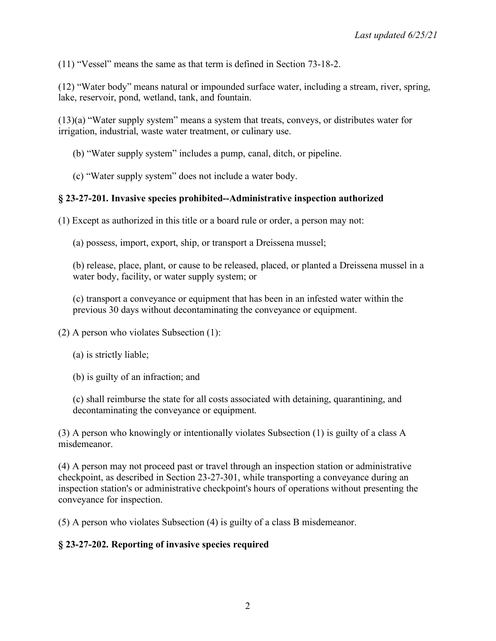(11) "Vessel" means the same as that term is defined in Section 73-18-2.

(12) "Water body" means natural or impounded surface water, including a stream, river, spring, lake, reservoir, pond, wetland, tank, and fountain.

(13)(a) "Water supply system" means a system that treats, conveys, or distributes water for irrigation, industrial, waste water treatment, or culinary use.

(b) "Water supply system" includes a pump, canal, ditch, or pipeline.

(c) "Water supply system" does not include a water body.

## **§ 23-27-201. Invasive species prohibited--Administrative inspection authorized**

(1) Except as authorized in this title or a board rule or order, a person may not:

(a) possess, import, export, ship, or transport a Dreissena mussel;

(b) release, place, plant, or cause to be released, placed, or planted a Dreissena mussel in a water body, facility, or water supply system; or

(c) transport a conveyance or equipment that has been in an infested water within the previous 30 days without decontaminating the conveyance or equipment.

(2) A person who violates Subsection (1):

(a) is strictly liable;

(b) is guilty of an infraction; and

(c) shall reimburse the state for all costs associated with detaining, quarantining, and decontaminating the conveyance or equipment.

(3) A person who knowingly or intentionally violates Subsection (1) is guilty of a class A misdemeanor.

(4) A person may not proceed past or travel through an inspection station or administrative checkpoint, as described in Section 23-27-301, while transporting a conveyance during an inspection station's or administrative checkpoint's hours of operations without presenting the conveyance for inspection.

(5) A person who violates Subsection (4) is guilty of a class B misdemeanor.

## **§ 23-27-202. Reporting of invasive species required**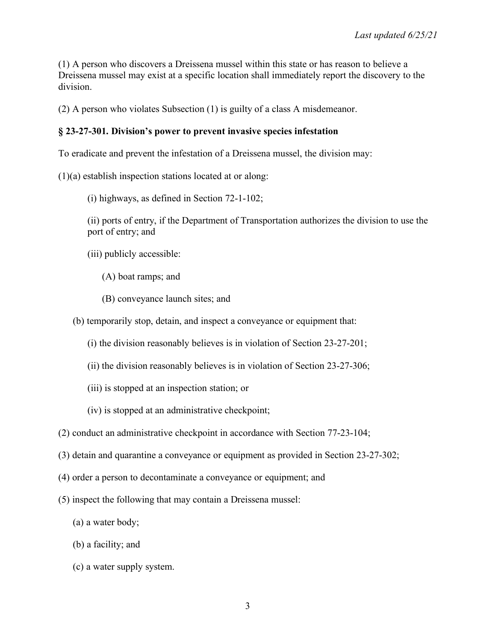(1) A person who discovers a Dreissena mussel within this state or has reason to believe a Dreissena mussel may exist at a specific location shall immediately report the discovery to the division.

(2) A person who violates Subsection (1) is guilty of a class A misdemeanor.

#### **§ 23-27-301. Division's power to prevent invasive species infestation**

To eradicate and prevent the infestation of a Dreissena mussel, the division may:

(1)(a) establish inspection stations located at or along:

(i) highways, as defined in Section 72-1-102;

(ii) ports of entry, if the Department of Transportation authorizes the division to use the port of entry; and

(iii) publicly accessible:

- (A) boat ramps; and
- (B) conveyance launch sites; and

(b) temporarily stop, detain, and inspect a conveyance or equipment that:

- (i) the division reasonably believes is in violation of Section 23-27-201;
- (ii) the division reasonably believes is in violation of Section 23-27-306;
- (iii) is stopped at an inspection station; or
- (iv) is stopped at an administrative checkpoint;
- (2) conduct an administrative checkpoint in accordance with Section 77-23-104;
- (3) detain and quarantine a conveyance or equipment as provided in Section 23-27-302;
- (4) order a person to decontaminate a conveyance or equipment; and
- (5) inspect the following that may contain a Dreissena mussel:
	- (a) a water body;
	- (b) a facility; and
	- (c) a water supply system.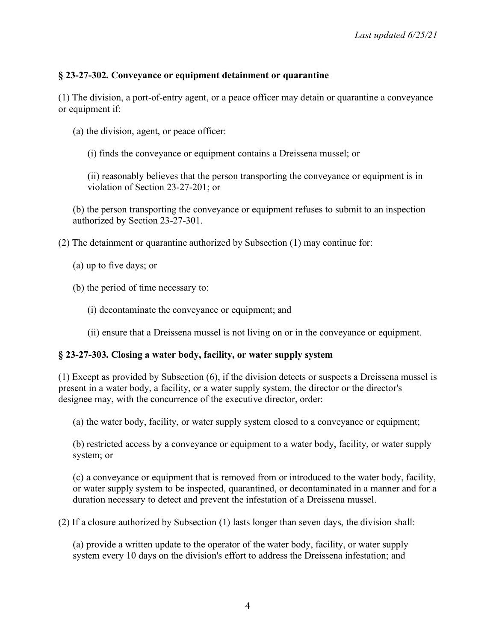# **§ 23-27-302. Conveyance or equipment detainment or quarantine**

(1) The division, a port-of-entry agent, or a peace officer may detain or quarantine a conveyance or equipment if:

(a) the division, agent, or peace officer:

(i) finds the conveyance or equipment contains a Dreissena mussel; or

(ii) reasonably believes that the person transporting the conveyance or equipment is in violation of Section 23-27-201; or

(b) the person transporting the conveyance or equipment refuses to submit to an inspection authorized by Section 23-27-301.

(2) The detainment or quarantine authorized by Subsection (1) may continue for:

- (a) up to five days; or
- (b) the period of time necessary to:
	- (i) decontaminate the conveyance or equipment; and
	- (ii) ensure that a Dreissena mussel is not living on or in the conveyance or equipment.

## **§ 23-27-303. Closing a water body, facility, or water supply system**

(1) Except as provided by Subsection (6), if the division detects or suspects a Dreissena mussel is present in a water body, a facility, or a water supply system, the director or the director's designee may, with the concurrence of the executive director, order:

(a) the water body, facility, or water supply system closed to a conveyance or equipment;

(b) restricted access by a conveyance or equipment to a water body, facility, or water supply system; or

(c) a conveyance or equipment that is removed from or introduced to the water body, facility, or water supply system to be inspected, quarantined, or decontaminated in a manner and for a duration necessary to detect and prevent the infestation of a Dreissena mussel.

(2) If a closure authorized by Subsection (1) lasts longer than seven days, the division shall:

(a) provide a written update to the operator of the water body, facility, or water supply system every 10 days on the division's effort to address the Dreissena infestation; and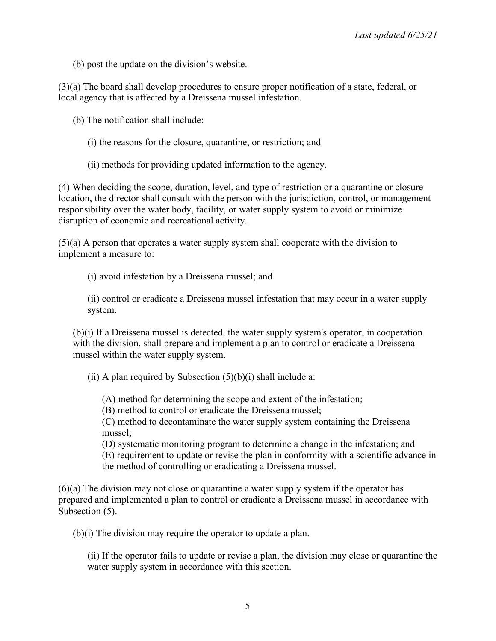(b) post the update on the division's website.

(3)(a) The board shall develop procedures to ensure proper notification of a state, federal, or local agency that is affected by a Dreissena mussel infestation.

(b) The notification shall include:

- (i) the reasons for the closure, quarantine, or restriction; and
- (ii) methods for providing updated information to the agency.

(4) When deciding the scope, duration, level, and type of restriction or a quarantine or closure location, the director shall consult with the person with the jurisdiction, control, or management responsibility over the water body, facility, or water supply system to avoid or minimize disruption of economic and recreational activity.

(5)(a) A person that operates a water supply system shall cooperate with the division to implement a measure to:

(i) avoid infestation by a Dreissena mussel; and

(ii) control or eradicate a Dreissena mussel infestation that may occur in a water supply system.

(b)(i) If a Dreissena mussel is detected, the water supply system's operator, in cooperation with the division, shall prepare and implement a plan to control or eradicate a Dreissena mussel within the water supply system.

(ii) A plan required by Subsection  $(5)(b)(i)$  shall include a:

(A) method for determining the scope and extent of the infestation;

(B) method to control or eradicate the Dreissena mussel;

(C) method to decontaminate the water supply system containing the Dreissena mussel;

(D) systematic monitoring program to determine a change in the infestation; and (E) requirement to update or revise the plan in conformity with a scientific advance in the method of controlling or eradicating a Dreissena mussel.

(6)(a) The division may not close or quarantine a water supply system if the operator has prepared and implemented a plan to control or eradicate a Dreissena mussel in accordance with Subsection  $(5)$ .

(b)(i) The division may require the operator to update a plan.

(ii) If the operator fails to update or revise a plan, the division may close or quarantine the water supply system in accordance with this section.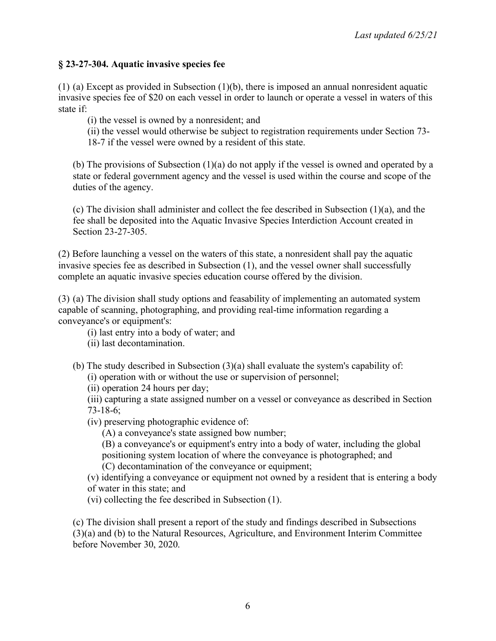## **§ 23-27-304. Aquatic invasive species fee**

(1) (a) Except as provided in Subsection (1)(b), there is imposed an annual nonresident aquatic invasive species fee of \$20 on each vessel in order to launch or operate a vessel in waters of this state if:

(i) the vessel is owned by a nonresident; and

(ii) the vessel would otherwise be subject to registration requirements under Section 73- 18-7 if the vessel were owned by a resident of this state.

(b) The provisions of Subsection (1)(a) do not apply if the vessel is owned and operated by a state or federal government agency and the vessel is used within the course and scope of the duties of the agency.

(c) The division shall administer and collect the fee described in Subsection (1)(a), and the fee shall be deposited into the Aquatic Invasive Species Interdiction Account created in Section 23-27-305.

(2) Before launching a vessel on the waters of this state, a nonresident shall pay the aquatic invasive species fee as described in Subsection (1), and the vessel owner shall successfully complete an aquatic invasive species education course offered by the division.

(3) (a) The division shall study options and feasability of implementing an automated system capable of scanning, photographing, and providing real-time information regarding a conveyance's or equipment's:

(i) last entry into a body of water; and

(ii) last decontamination.

- (b) The study described in Subsection (3)(a) shall evaluate the system's capability of:
	- (i) operation with or without the use or supervision of personnel;
	- (ii) operation 24 hours per day;

(iii) capturing a state assigned number on a vessel or conveyance as described in Section 73-18-6;

- (iv) preserving photographic evidence of:
	- (A) a conveyance's state assigned bow number;

(B) a conveyance's or equipment's entry into a body of water, including the global positioning system location of where the conveyance is photographed; and (C) decontamination of the conveyance or equipment;

(v) identifying a conveyance or equipment not owned by a resident that is entering a body of water in this state; and

(vi) collecting the fee described in Subsection (1).

(c) The division shall present a report of the study and findings described in Subsections (3)(a) and (b) to the Natural Resources, Agriculture, and Environment Interim Committee before November 30, 2020.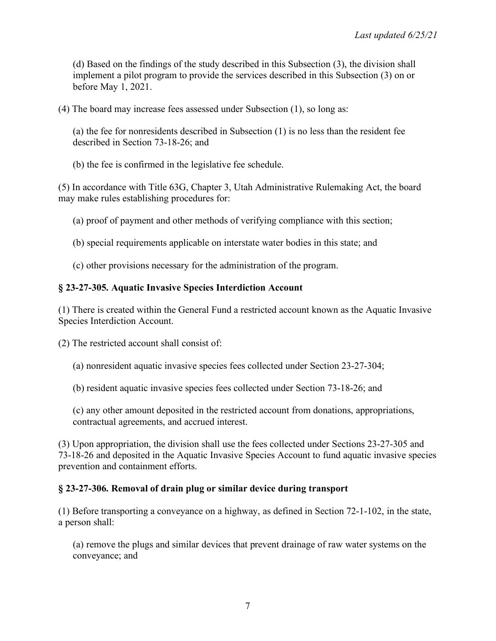(d) Based on the findings of the study described in this Subsection (3), the division shall implement a pilot program to provide the services described in this Subsection (3) on or before May 1, 2021.

(4) The board may increase fees assessed under Subsection (1), so long as:

(a) the fee for nonresidents described in Subsection (1) is no less than the resident fee described in Section 73-18-26; and

(b) the fee is confirmed in the legislative fee schedule.

(5) In accordance with Title 63G, Chapter 3, Utah Administrative Rulemaking Act, the board may make rules establishing procedures for:

(a) proof of payment and other methods of verifying compliance with this section;

(b) special requirements applicable on interstate water bodies in this state; and

(c) other provisions necessary for the administration of the program.

#### **§ 23-27-305. Aquatic Invasive Species Interdiction Account**

(1) There is created within the General Fund a restricted account known as the Aquatic Invasive Species Interdiction Account.

(2) The restricted account shall consist of:

(a) nonresident aquatic invasive species fees collected under Section 23-27-304;

(b) resident aquatic invasive species fees collected under Section 73-18-26; and

(c) any other amount deposited in the restricted account from donations, appropriations, contractual agreements, and accrued interest.

(3) Upon appropriation, the division shall use the fees collected under Sections 23-27-305 and 73-18-26 and deposited in the Aquatic Invasive Species Account to fund aquatic invasive species prevention and containment efforts.

## **§ 23-27-306. Removal of drain plug or similar device during transport**

(1) Before transporting a conveyance on a highway, as defined in Section 72-1-102, in the state, a person shall:

(a) remove the plugs and similar devices that prevent drainage of raw water systems on the conveyance; and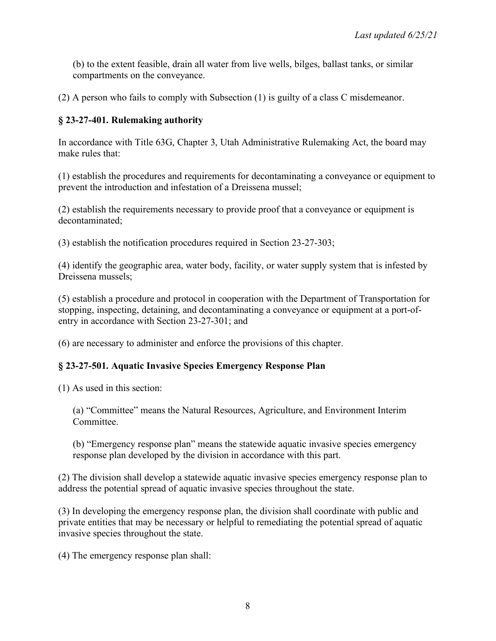(b) to the extent feasible, drain all water from live wells, bilges, ballast tanks, or similar compartments on the conveyance.

(2) A person who fails to comply with Subsection (1) is guilty of a class C misdemeanor.

## **§ 23-27-401. Rulemaking authority**

In accordance with Title 63G, Chapter 3, Utah Administrative Rulemaking Act, the board may make rules that:

(1) establish the procedures and requirements for decontaminating a conveyance or equipment to prevent the introduction and infestation of a Dreissena mussel;

(2) establish the requirements necessary to provide proof that a conveyance or equipment is decontaminated;

(3) establish the notification procedures required in Section 23-27-303;

(4) identify the geographic area, water body, facility, or water supply system that is infested by Dreissena mussels;

(5) establish a procedure and protocol in cooperation with the Department of Transportation for stopping, inspecting, detaining, and decontaminating a conveyance or equipment at a port-ofentry in accordance with Section 23-27-301; and

(6) are necessary to administer and enforce the provisions of this chapter.

## **§ 23-27-501. Aquatic Invasive Species Emergency Response Plan**

(1) As used in this section:

(a) "Committee" means the Natural Resources, Agriculture, and Environment Interim **Committee** 

(b) "Emergency response plan" means the statewide aquatic invasive species emergency response plan developed by the division in accordance with this part.

(2) The division shall develop a statewide aquatic invasive species emergency response plan to address the potential spread of aquatic invasive species throughout the state.

(3) In developing the emergency response plan, the division shall coordinate with public and private entities that may be necessary or helpful to remediating the potential spread of aquatic invasive species throughout the state.

(4) The emergency response plan shall: